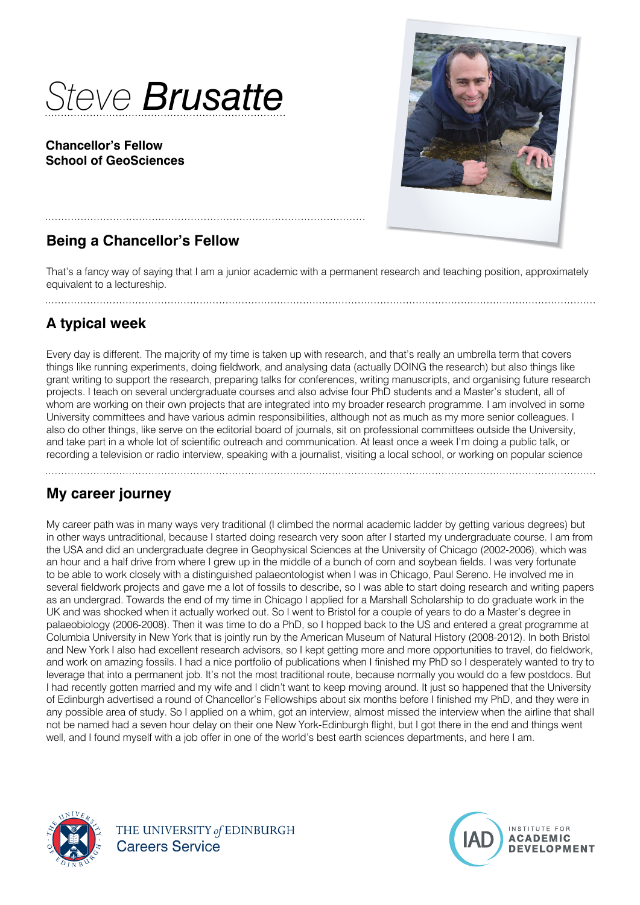

#### **Chancellor's Fellow School of GeoSciences**



# **Being a Chancellor's Fellow**

That's a fancy way of saying that I am a junior academic with a permanent research and teaching position, approximately equivalent to a lectureship.

## **A typical week**

Every day is different. The majority of my time is taken up with research, and that's really an umbrella term that covers things like running experiments, doing fieldwork, and analysing data (actually DOING the research) but also things like grant writing to support the research, preparing talks for conferences, writing manuscripts, and organising future research projects. I teach on several undergraduate courses and also advise four PhD students and a Master's student, all of whom are working on their own projects that are integrated into my broader research programme. I am involved in some University committees and have various admin responsibilities, although not as much as my more senior colleagues. I also do other things, like serve on the editorial board of journals, sit on professional committees outside the University, and take part in a whole lot of scientific outreach and communication. At least once a week I'm doing a public talk, or recording a television or radio interview, speaking with a journalist, visiting a local school, or working on popular science

# **My career journey**

My career path was in many ways very traditional (I climbed the normal academic ladder by getting various degrees) but in other ways untraditional, because I started doing research very soon after I started my undergraduate course. I am from the USA and did an undergraduate degree in Geophysical Sciences at the University of Chicago (2002-2006), which was an hour and a half drive from where I grew up in the middle of a bunch of corn and soybean fields. I was very fortunate to be able to work closely with a distinguished palaeontologist when I was in Chicago, Paul Sereno. He involved me in several fieldwork projects and gave me a lot of fossils to describe, so I was able to start doing research and writing papers as an undergrad. Towards the end of my time in Chicago I applied for a Marshall Scholarship to do graduate work in the UK and was shocked when it actually worked out. So I went to Bristol for a couple of years to do a Master's degree in palaeobiology (2006-2008). Then it was time to do a PhD, so I hopped back to the US and entered a great programme at Columbia University in New York that is jointly run by the American Museum of Natural History (2008-2012). In both Bristol and New York I also had excellent research advisors, so I kept getting more and more opportunities to travel, do fieldwork, and work on amazing fossils. I had a nice portfolio of publications when I finished my PhD so I desperately wanted to try to leverage that into a permanent job. It's not the most traditional route, because normally you would do a few postdocs. But I had recently gotten married and my wife and I didn't want to keep moving around. It just so happened that the University of Edinburgh advertised a round of Chancellor's Fellowships about six months before I finished my PhD, and they were in any possible area of study. So I applied on a whim, got an interview, almost missed the interview when the airline that shall not be named had a seven hour delay on their one New York-Edinburgh flight, but I got there in the end and things went well, and I found myself with a job offer in one of the world's best earth sciences departments, and here I am.



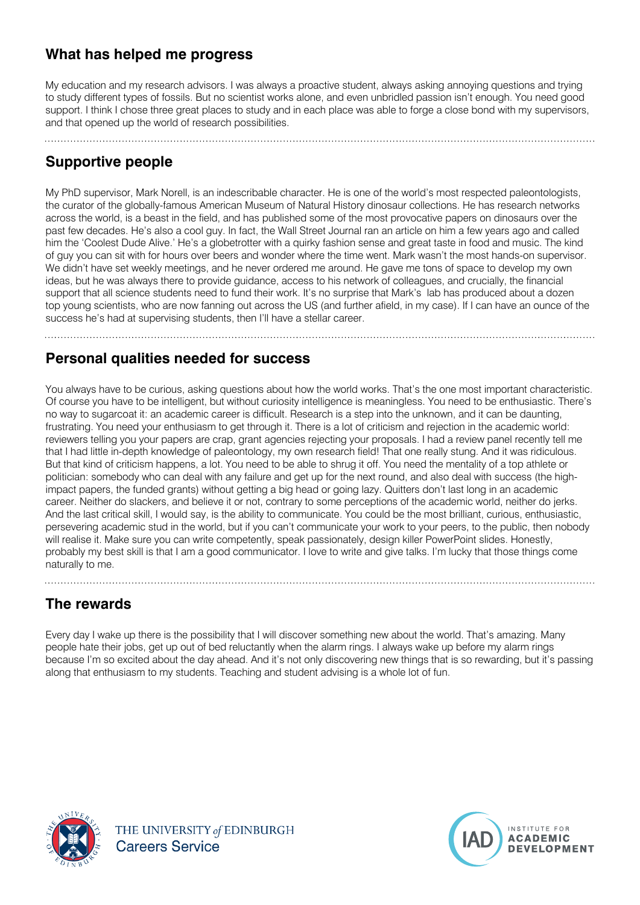### **What has helped me progress**

My education and my research advisors. I was always a proactive student, always asking annoying questions and trying to study different types of fossils. But no scientist works alone, and even unbridled passion isn't enough. You need good support. I think I chose three great places to study and in each place was able to forge a close bond with my supervisors, and that opened up the world of research possibilities.

# **Supportive people**

My PhD supervisor, Mark Norell, is an indescribable character. He is one of the world's most respected paleontologists, the curator of the globally-famous American Museum of Natural History dinosaur collections. He has research networks across the world, is a beast in the field, and has published some of the most provocative papers on dinosaurs over the past few decades. He's also a cool guy. In fact, the Wall Street Journal ran an article on him a few years ago and called him the 'Coolest Dude Alive.' He's a globetrotter with a quirky fashion sense and great taste in food and music. The kind of guy you can sit with for hours over beers and wonder where the time went. Mark wasn't the most hands-on supervisor. We didn't have set weekly meetings, and he never ordered me around. He gave me tons of space to develop my own ideas, but he was always there to provide guidance, access to his network of colleagues, and crucially, the financial support that all science students need to fund their work. It's no surprise that Mark's lab has produced about a dozen top young scientists, who are now fanning out across the US (and further afield, in my case). If I can have an ounce of the success he's had at supervising students, then I'll have a stellar career.

#### **Personal qualities needed for success**

You always have to be curious, asking questions about how the world works. That's the one most important characteristic. Of course you have to be intelligent, but without curiosity intelligence is meaningless. You need to be enthusiastic. There's no way to sugarcoat it: an academic career is difficult. Research is a step into the unknown, and it can be daunting, frustrating. You need your enthusiasm to get through it. There is a lot of criticism and rejection in the academic world: reviewers telling you your papers are crap, grant agencies rejecting your proposals. I had a review panel recently tell me that I had little in-depth knowledge of paleontology, my own research field! That one really stung. And it was ridiculous. But that kind of criticism happens, a lot. You need to be able to shrug it off. You need the mentality of a top athlete or politician: somebody who can deal with any failure and get up for the next round, and also deal with success (the highimpact papers, the funded grants) without getting a big head or going lazy. Quitters don't last long in an academic career. Neither do slackers, and believe it or not, contrary to some perceptions of the academic world, neither do jerks. And the last critical skill, I would say, is the ability to communicate. You could be the most brilliant, curious, enthusiastic, persevering academic stud in the world, but if you can't communicate your work to your peers, to the public, then nobody will realise it. Make sure you can write competently, speak passionately, design killer PowerPoint slides. Honestly, probably my best skill is that I am a good communicator. I love to write and give talks. I'm lucky that those things come naturally to me.

### **The rewards**

Every day I wake up there is the possibility that I will discover something new about the world. That's amazing. Many people hate their jobs, get up out of bed reluctantly when the alarm rings. I always wake up before my alarm rings because I'm so excited about the day ahead. And it's not only discovering new things that is so rewarding, but it's passing along that enthusiasm to my students. Teaching and student advising is a whole lot of fun.